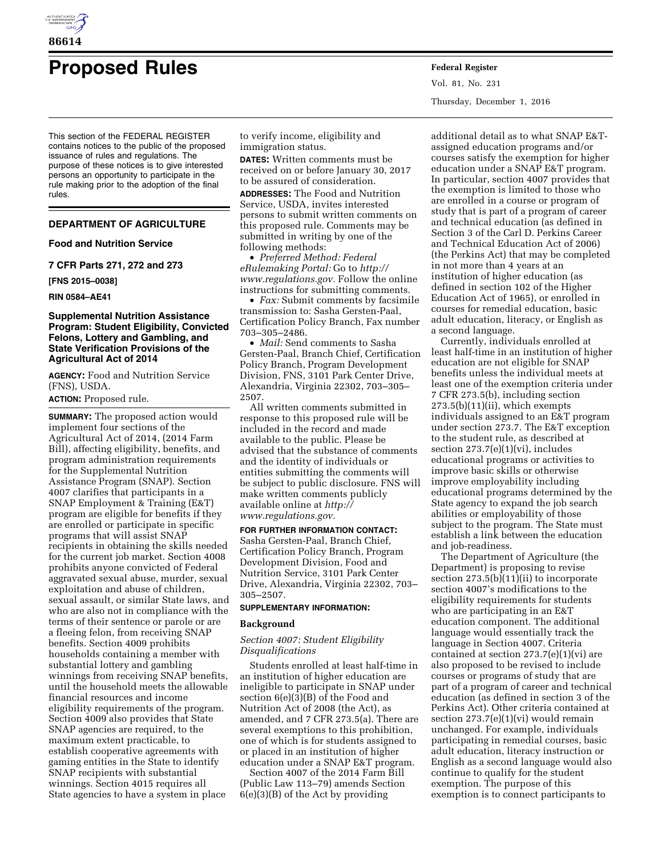

# **Proposed Rules Federal Register**

Vol. 81, No. 231 Thursday, December 1, 2016

This section of the FEDERAL REGISTER contains notices to the public of the proposed issuance of rules and regulations. The purpose of these notices is to give interested persons an opportunity to participate in the rule making prior to the adoption of the final rules.

# **DEPARTMENT OF AGRICULTURE**

#### **Food and Nutrition Service**

**7 CFR Parts 271, 272 and 273** 

**[FNS 2015–0038]** 

**RIN 0584–AE41** 

# **Supplemental Nutrition Assistance Program: Student Eligibility, Convicted Felons, Lottery and Gambling, and State Verification Provisions of the Agricultural Act of 2014**

**AGENCY:** Food and Nutrition Service (FNS), USDA.

**ACTION:** Proposed rule.

**SUMMARY:** The proposed action would implement four sections of the Agricultural Act of 2014, (2014 Farm Bill), affecting eligibility, benefits, and program administration requirements for the Supplemental Nutrition Assistance Program (SNAP). Section 4007 clarifies that participants in a SNAP Employment & Training (E&T) program are eligible for benefits if they are enrolled or participate in specific programs that will assist SNAP recipients in obtaining the skills needed for the current job market. Section 4008 prohibits anyone convicted of Federal aggravated sexual abuse, murder, sexual exploitation and abuse of children, sexual assault, or similar State laws, and who are also not in compliance with the terms of their sentence or parole or are a fleeing felon, from receiving SNAP benefits. Section 4009 prohibits households containing a member with substantial lottery and gambling winnings from receiving SNAP benefits, until the household meets the allowable financial resources and income eligibility requirements of the program. Section 4009 also provides that State SNAP agencies are required, to the maximum extent practicable, to establish cooperative agreements with gaming entities in the State to identify SNAP recipients with substantial winnings. Section 4015 requires all State agencies to have a system in place

to verify income, eligibility and immigration status.

**DATES:** Written comments must be received on or before January 30, 2017 to be assured of consideration.

**ADDRESSES:** The Food and Nutrition Service, USDA, invites interested persons to submit written comments on this proposed rule. Comments may be submitted in writing by one of the following methods:

• *Preferred Method: Federal eRulemaking Portal:* Go to *[http://](http://www.regulations.gov) [www.regulations.gov.](http://www.regulations.gov)* Follow the online instructions for submitting comments.

• *Fax:* Submit comments by facsimile transmission to: Sasha Gersten-Paal, Certification Policy Branch, Fax number 703–305–2486.

• *Mail:* Send comments to Sasha Gersten-Paal, Branch Chief, Certification Policy Branch, Program Development Division, FNS, 3101 Park Center Drive, Alexandria, Virginia 22302, 703–305– 2507.

All written comments submitted in response to this proposed rule will be included in the record and made available to the public. Please be advised that the substance of comments and the identity of individuals or entities submitting the comments will be subject to public disclosure. FNS will make written comments publicly available online at *[http://](http://www.regulations.gov) [www.regulations.gov.](http://www.regulations.gov)* 

# **FOR FURTHER INFORMATION CONTACT:**

Sasha Gersten-Paal, Branch Chief, Certification Policy Branch, Program Development Division, Food and Nutrition Service, 3101 Park Center Drive, Alexandria, Virginia 22302, 703– 305–2507.

# **SUPPLEMENTARY INFORMATION:**

#### **Background**

# *Section 4007: Student Eligibility Disqualifications*

Students enrolled at least half-time in an institution of higher education are ineligible to participate in SNAP under section 6(e)(3)(B) of the Food and Nutrition Act of 2008 (the Act), as amended, and 7 CFR 273.5(a). There are several exemptions to this prohibition, one of which is for students assigned to or placed in an institution of higher education under a SNAP E&T program.

Section 4007 of the 2014 Farm Bill (Public Law 113–79) amends Section 6(e)(3)(B) of the Act by providing

additional detail as to what SNAP E&Tassigned education programs and/or courses satisfy the exemption for higher education under a SNAP E&T program. In particular, section 4007 provides that the exemption is limited to those who are enrolled in a course or program of study that is part of a program of career and technical education (as defined in Section 3 of the Carl D. Perkins Career and Technical Education Act of 2006) (the Perkins Act) that may be completed in not more than 4 years at an institution of higher education (as defined in section 102 of the Higher Education Act of 1965), or enrolled in courses for remedial education, basic adult education, literacy, or English as a second language.

Currently, individuals enrolled at least half-time in an institution of higher education are not eligible for SNAP benefits unless the individual meets at least one of the exemption criteria under 7 CFR 273.5(b), including section  $273.5(b)(11)(ii)$ , which exempts individuals assigned to an E&T program under section 273.7. The E&T exception to the student rule, as described at section 273.7(e)(1)(vi), includes educational programs or activities to improve basic skills or otherwise improve employability including educational programs determined by the State agency to expand the job search abilities or employability of those subject to the program. The State must establish a link between the education and job-readiness.

The Department of Agriculture (the Department) is proposing to revise section  $273.5(b)(11)(ii)$  to incorporate section 4007's modifications to the eligibility requirements for students who are participating in an E&T education component. The additional language would essentially track the language in Section 4007. Criteria contained at section 273.7(e)(1)(vi) are also proposed to be revised to include courses or programs of study that are part of a program of career and technical education (as defined in section 3 of the Perkins Act). Other criteria contained at section 273.7(e)(1)(vi) would remain unchanged. For example, individuals participating in remedial courses, basic adult education, literacy instruction or English as a second language would also continue to qualify for the student exemption. The purpose of this exemption is to connect participants to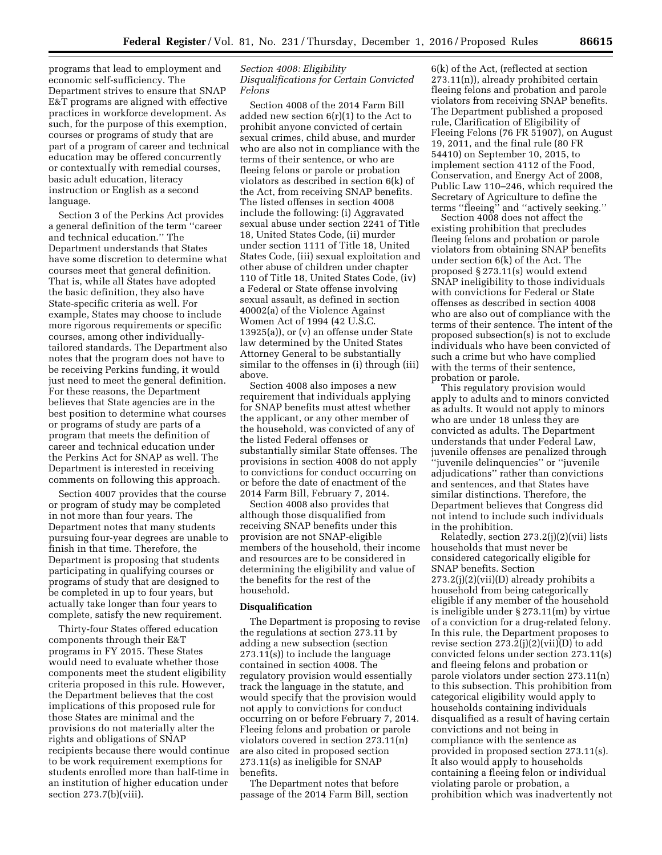programs that lead to employment and economic self-sufficiency. The Department strives to ensure that SNAP E&T programs are aligned with effective practices in workforce development. As such, for the purpose of this exemption, courses or programs of study that are part of a program of career and technical education may be offered concurrently or contextually with remedial courses, basic adult education, literacy instruction or English as a second language.

Section 3 of the Perkins Act provides a general definition of the term ''career and technical education.'' The Department understands that States have some discretion to determine what courses meet that general definition. That is, while all States have adopted the basic definition, they also have State-specific criteria as well. For example, States may choose to include more rigorous requirements or specific courses, among other individuallytailored standards. The Department also notes that the program does not have to be receiving Perkins funding, it would just need to meet the general definition. For these reasons, the Department believes that State agencies are in the best position to determine what courses or programs of study are parts of a program that meets the definition of career and technical education under the Perkins Act for SNAP as well. The Department is interested in receiving comments on following this approach.

Section 4007 provides that the course or program of study may be completed in not more than four years. The Department notes that many students pursuing four-year degrees are unable to finish in that time. Therefore, the Department is proposing that students participating in qualifying courses or programs of study that are designed to be completed in up to four years, but actually take longer than four years to complete, satisfy the new requirement.

Thirty-four States offered education components through their E&T programs in FY 2015. These States would need to evaluate whether those components meet the student eligibility criteria proposed in this rule. However, the Department believes that the cost implications of this proposed rule for those States are minimal and the provisions do not materially alter the rights and obligations of SNAP recipients because there would continue to be work requirement exemptions for students enrolled more than half-time in an institution of higher education under section 273.7(b)(viii).

# *Section 4008: Eligibility Disqualifications for Certain Convicted Felons*

Section 4008 of the 2014 Farm Bill added new section 6(r)(1) to the Act to prohibit anyone convicted of certain sexual crimes, child abuse, and murder who are also not in compliance with the terms of their sentence, or who are fleeing felons or parole or probation violators as described in section 6(k) of the Act, from receiving SNAP benefits. The listed offenses in section 4008 include the following: (i) Aggravated sexual abuse under section 2241 of Title 18, United States Code, (ii) murder under section 1111 of Title 18, United States Code, (iii) sexual exploitation and other abuse of children under chapter 110 of Title 18, United States Code, (iv) a Federal or State offense involving sexual assault, as defined in section 40002(a) of the Violence Against Women Act of 1994 (42 U.S.C. 13925(a)), or (v) an offense under State law determined by the United States Attorney General to be substantially similar to the offenses in (i) through (iii) above.

Section 4008 also imposes a new requirement that individuals applying for SNAP benefits must attest whether the applicant, or any other member of the household, was convicted of any of the listed Federal offenses or substantially similar State offenses. The provisions in section 4008 do not apply to convictions for conduct occurring on or before the date of enactment of the 2014 Farm Bill, February 7, 2014.

Section 4008 also provides that although those disqualified from receiving SNAP benefits under this provision are not SNAP-eligible members of the household, their income and resources are to be considered in determining the eligibility and value of the benefits for the rest of the household.

#### **Disqualification**

The Department is proposing to revise the regulations at section 273.11 by adding a new subsection (section 273.11(s)) to include the language contained in section 4008. The regulatory provision would essentially track the language in the statute, and would specify that the provision would not apply to convictions for conduct occurring on or before February 7, 2014. Fleeing felons and probation or parole violators covered in section 273.11(n) are also cited in proposed section 273.11(s) as ineligible for SNAP benefits.

The Department notes that before passage of the 2014 Farm Bill, section

6(k) of the Act, (reflected at section 273.11(n)), already prohibited certain fleeing felons and probation and parole violators from receiving SNAP benefits. The Department published a proposed rule, Clarification of Eligibility of Fleeing Felons (76 FR 51907), on August 19, 2011, and the final rule (80 FR 54410) on September 10, 2015, to implement section 4112 of the Food, Conservation, and Energy Act of 2008, Public Law 110–246, which required the Secretary of Agriculture to define the terms ''fleeing'' and ''actively seeking.''

Section 4008 does not affect the existing prohibition that precludes fleeing felons and probation or parole violators from obtaining SNAP benefits under section 6(k) of the Act. The proposed § 273.11(s) would extend SNAP ineligibility to those individuals with convictions for Federal or State offenses as described in section 4008 who are also out of compliance with the terms of their sentence. The intent of the proposed subsection(s) is not to exclude individuals who have been convicted of such a crime but who have complied with the terms of their sentence, probation or parole.

This regulatory provision would apply to adults and to minors convicted as adults. It would not apply to minors who are under 18 unless they are convicted as adults. The Department understands that under Federal Law, juvenile offenses are penalized through ''juvenile delinquencies'' or ''juvenile adjudications'' rather than convictions and sentences, and that States have similar distinctions. Therefore, the Department believes that Congress did not intend to include such individuals in the prohibition.

Relatedly, section 273.2(j)(2)(vii) lists households that must never be considered categorically eligible for SNAP benefits. Section  $273.2(j)(2)(vii)(D)$  already prohibits a household from being categorically eligible if any member of the household is ineligible under § 273.11(m) by virtue of a conviction for a drug-related felony. In this rule, the Department proposes to revise section  $273.2(i)(2)(vii)(D)$  to add convicted felons under section 273.11(s) and fleeing felons and probation or parole violators under section 273.11(n) to this subsection. This prohibition from categorical eligibility would apply to households containing individuals disqualified as a result of having certain convictions and not being in compliance with the sentence as provided in proposed section 273.11(s). It also would apply to households containing a fleeing felon or individual violating parole or probation, a prohibition which was inadvertently not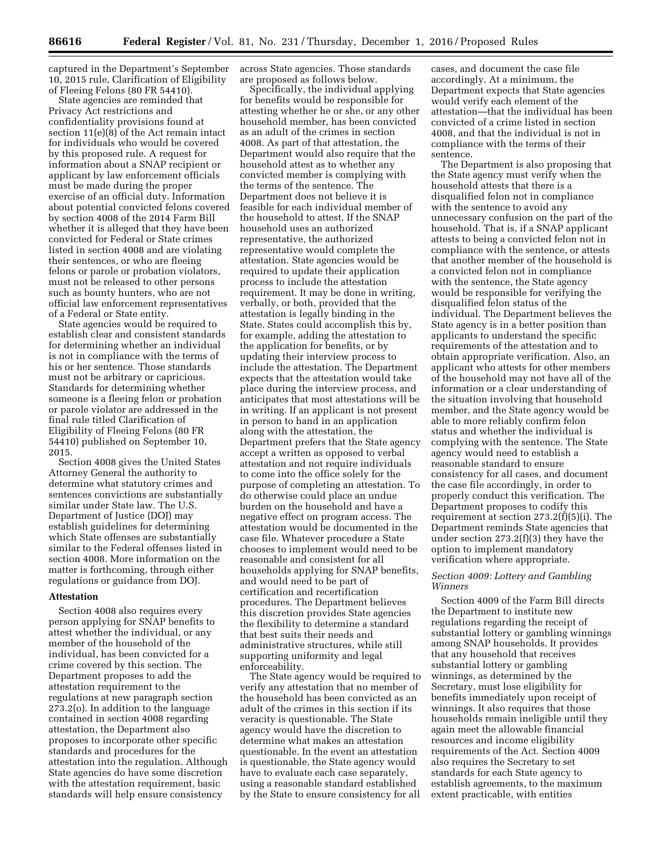captured in the Department's September 10, 2015 rule, Clarification of Eligibility of Fleeing Felons (80 FR 54410).

State agencies are reminded that Privacy Act restrictions and confidentiality provisions found at section 11(e)(8) of the Act remain intact for individuals who would be covered by this proposed rule. A request for information about a SNAP recipient or applicant by law enforcement officials must be made during the proper exercise of an official duty. Information about potential convicted felons covered by section 4008 of the 2014 Farm Bill whether it is alleged that they have been convicted for Federal or State crimes listed in section 4008 and are violating their sentences, or who are fleeing felons or parole or probation violators, must not be released to other persons such as bounty hunters, who are not official law enforcement representatives of a Federal or State entity.

State agencies would be required to establish clear and consistent standards for determining whether an individual is not in compliance with the terms of his or her sentence. Those standards must not be arbitrary or capricious. Standards for determining whether someone is a fleeing felon or probation or parole violator are addressed in the final rule titled Clarification of Eligibility of Fleeing Felons (80 FR 54410) published on September 10, 2015.

Section 4008 gives the United States Attorney General the authority to determine what statutory crimes and sentences convictions are substantially similar under State law. The U.S. Department of Justice (DOJ) may establish guidelines for determining which State offenses are substantially similar to the Federal offenses listed in section 4008. More information on the matter is forthcoming, through either regulations or guidance from DOJ.

#### **Attestation**

Section 4008 also requires every person applying for SNAP benefits to attest whether the individual, or any member of the household of the individual, has been convicted for a crime covered by this section. The Department proposes to add the attestation requirement to the regulations at new paragraph section 273.2(o). In addition to the language contained in section 4008 regarding attestation, the Department also proposes to incorporate other specific standards and procedures for the attestation into the regulation. Although State agencies do have some discretion with the attestation requirement, basic standards will help ensure consistency

across State agencies. Those standards are proposed as follows below.

Specifically, the individual applying for benefits would be responsible for attesting whether he or she, or any other household member, has been convicted as an adult of the crimes in section 4008. As part of that attestation, the Department would also require that the household attest as to whether any convicted member is complying with the terms of the sentence. The Department does not believe it is feasible for each individual member of the household to attest. If the SNAP household uses an authorized representative, the authorized representative would complete the attestation. State agencies would be required to update their application process to include the attestation requirement. It may be done in writing, verbally, or both, provided that the attestation is legally binding in the State. States could accomplish this by, for example, adding the attestation to the application for benefits, or by updating their interview process to include the attestation. The Department expects that the attestation would take place during the interview process, and anticipates that most attestations will be in writing. If an applicant is not present in person to hand in an application along with the attestation, the Department prefers that the State agency accept a written as opposed to verbal attestation and not require individuals to come into the office solely for the purpose of completing an attestation. To do otherwise could place an undue burden on the household and have a negative effect on program access. The attestation would be documented in the case file. Whatever procedure a State chooses to implement would need to be reasonable and consistent for all households applying for SNAP benefits, and would need to be part of certification and recertification procedures. The Department believes this discretion provides State agencies the flexibility to determine a standard that best suits their needs and administrative structures, while still supporting uniformity and legal enforceability.

The State agency would be required to verify any attestation that no member of the household has been convicted as an adult of the crimes in this section if its veracity is questionable. The State agency would have the discretion to determine what makes an attestation questionable. In the event an attestation is questionable, the State agency would have to evaluate each case separately, using a reasonable standard established by the State to ensure consistency for all

cases, and document the case file accordingly. At a minimum, the Department expects that State agencies would verify each element of the attestation—that the individual has been convicted of a crime listed in section 4008, and that the individual is not in compliance with the terms of their sentence.

The Department is also proposing that the State agency must verify when the household attests that there is a disqualified felon not in compliance with the sentence to avoid any unnecessary confusion on the part of the household. That is, if a SNAP applicant attests to being a convicted felon not in compliance with the sentence, or attests that another member of the household is a convicted felon not in compliance with the sentence, the State agency would be responsible for verifying the disqualified felon status of the individual. The Department believes the State agency is in a better position than applicants to understand the specific requirements of the attestation and to obtain appropriate verification. Also, an applicant who attests for other members of the household may not have all of the information or a clear understanding of the situation involving that household member, and the State agency would be able to more reliably confirm felon status and whether the individual is complying with the sentence. The State agency would need to establish a reasonable standard to ensure consistency for all cases, and document the case file accordingly, in order to properly conduct this verification. The Department proposes to codify this requirement at section 273.2(f)(5)(i). The Department reminds State agencies that under section 273.2(f)(3) they have the option to implement mandatory verification where appropriate.

## *Section 4009: Lottery and Gambling Winners*

Section 4009 of the Farm Bill directs the Department to institute new regulations regarding the receipt of substantial lottery or gambling winnings among SNAP households. It provides that any household that receives substantial lottery or gambling winnings, as determined by the Secretary, must lose eligibility for benefits immediately upon receipt of winnings. It also requires that those households remain ineligible until they again meet the allowable financial resources and income eligibility requirements of the Act. Section 4009 also requires the Secretary to set standards for each State agency to establish agreements, to the maximum extent practicable, with entities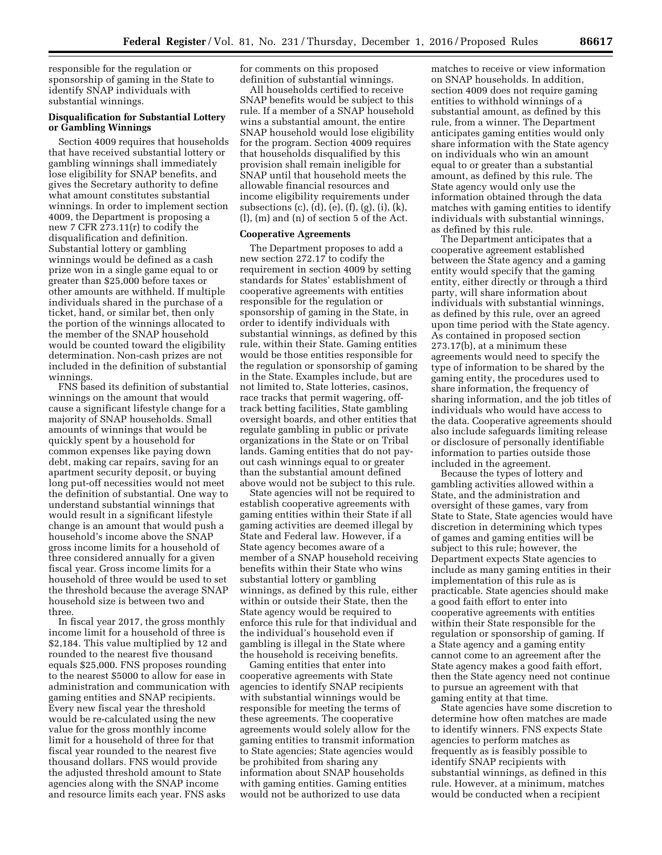responsible for the regulation or sponsorship of gaming in the State to identify SNAP individuals with substantial winnings.

# **Disqualification for Substantial Lottery or Gambling Winnings**

Section 4009 requires that households that have received substantial lottery or gambling winnings shall immediately lose eligibility for SNAP benefits, and gives the Secretary authority to define what amount constitutes substantial winnings. In order to implement section 4009, the Department is proposing a new 7 CFR 273.11(r) to codify the disqualification and definition. Substantial lottery or gambling winnings would be defined as a cash prize won in a single game equal to or greater than \$25,000 before taxes or other amounts are withheld. If multiple individuals shared in the purchase of a ticket, hand, or similar bet, then only the portion of the winnings allocated to the member of the SNAP household would be counted toward the eligibility determination. Non-cash prizes are not included in the definition of substantial winnings.

FNS based its definition of substantial winnings on the amount that would cause a significant lifestyle change for a majority of SNAP households. Small amounts of winnings that would be quickly spent by a household for common expenses like paying down debt, making car repairs, saving for an apartment security deposit, or buying long put-off necessities would not meet the definition of substantial. One way to understand substantial winnings that would result in a significant lifestyle change is an amount that would push a household's income above the SNAP gross income limits for a household of three considered annually for a given fiscal year. Gross income limits for a household of three would be used to set the threshold because the average SNAP household size is between two and three.

In fiscal year 2017, the gross monthly income limit for a household of three is \$2,184. This value multiplied by 12 and rounded to the nearest five thousand equals \$25,000. FNS proposes rounding to the nearest \$5000 to allow for ease in administration and communication with gaming entities and SNAP recipients. Every new fiscal year the threshold would be re-calculated using the new value for the gross monthly income limit for a household of three for that fiscal year rounded to the nearest five thousand dollars. FNS would provide the adjusted threshold amount to State agencies along with the SNAP income and resource limits each year. FNS asks

for comments on this proposed definition of substantial winnings.

All households certified to receive SNAP benefits would be subject to this rule. If a member of a SNAP household wins a substantial amount, the entire SNAP household would lose eligibility for the program. Section 4009 requires that households disqualified by this provision shall remain ineligible for SNAP until that household meets the allowable financial resources and income eligibility requirements under subsections (c), (d), (e), (f), (g), (i), (k), (l), (m) and (n) of section 5 of the Act.

#### **Cooperative Agreements**

The Department proposes to add a new section 272.17 to codify the requirement in section 4009 by setting standards for States' establishment of cooperative agreements with entities responsible for the regulation or sponsorship of gaming in the State, in order to identify individuals with substantial winnings, as defined by this rule, within their State. Gaming entities would be those entities responsible for the regulation or sponsorship of gaming in the State. Examples include, but are not limited to, State lotteries, casinos, race tracks that permit wagering, offtrack betting facilities, State gambling oversight boards, and other entities that regulate gambling in public or private organizations in the State or on Tribal lands. Gaming entities that do not payout cash winnings equal to or greater than the substantial amount defined above would not be subject to this rule.

State agencies will not be required to establish cooperative agreements with gaming entities within their State if all gaming activities are deemed illegal by State and Federal law. However, if a State agency becomes aware of a member of a SNAP household receiving benefits within their State who wins substantial lottery or gambling winnings, as defined by this rule, either within or outside their State, then the State agency would be required to enforce this rule for that individual and the individual's household even if gambling is illegal in the State where the household is receiving benefits.

Gaming entities that enter into cooperative agreements with State agencies to identify SNAP recipients with substantial winnings would be responsible for meeting the terms of these agreements. The cooperative agreements would solely allow for the gaming entities to transmit information to State agencies; State agencies would be prohibited from sharing any information about SNAP households with gaming entities. Gaming entities would not be authorized to use data

matches to receive or view information on SNAP households. In addition, section 4009 does not require gaming entities to withhold winnings of a substantial amount, as defined by this rule, from a winner. The Department anticipates gaming entities would only share information with the State agency on individuals who win an amount equal to or greater than a substantial amount, as defined by this rule. The State agency would only use the information obtained through the data matches with gaming entities to identify individuals with substantial winnings, as defined by this rule.

The Department anticipates that a cooperative agreement established between the State agency and a gaming entity would specify that the gaming entity, either directly or through a third party, will share information about individuals with substantial winnings, as defined by this rule, over an agreed upon time period with the State agency. As contained in proposed section 273.17(b), at a minimum these agreements would need to specify the type of information to be shared by the gaming entity, the procedures used to share information, the frequency of sharing information, and the job titles of individuals who would have access to the data. Cooperative agreements should also include safeguards limiting release or disclosure of personally identifiable information to parties outside those included in the agreement.

Because the types of lottery and gambling activities allowed within a State, and the administration and oversight of these games, vary from State to State, State agencies would have discretion in determining which types of games and gaming entities will be subject to this rule; however, the Department expects State agencies to include as many gaming entities in their implementation of this rule as is practicable. State agencies should make a good faith effort to enter into cooperative agreements with entities within their State responsible for the regulation or sponsorship of gaming. If a State agency and a gaming entity cannot come to an agreement after the State agency makes a good faith effort, then the State agency need not continue to pursue an agreement with that gaming entity at that time.

State agencies have some discretion to determine how often matches are made to identify winners. FNS expects State agencies to perform matches as frequently as is feasibly possible to identify SNAP recipients with substantial winnings, as defined in this rule. However, at a minimum, matches would be conducted when a recipient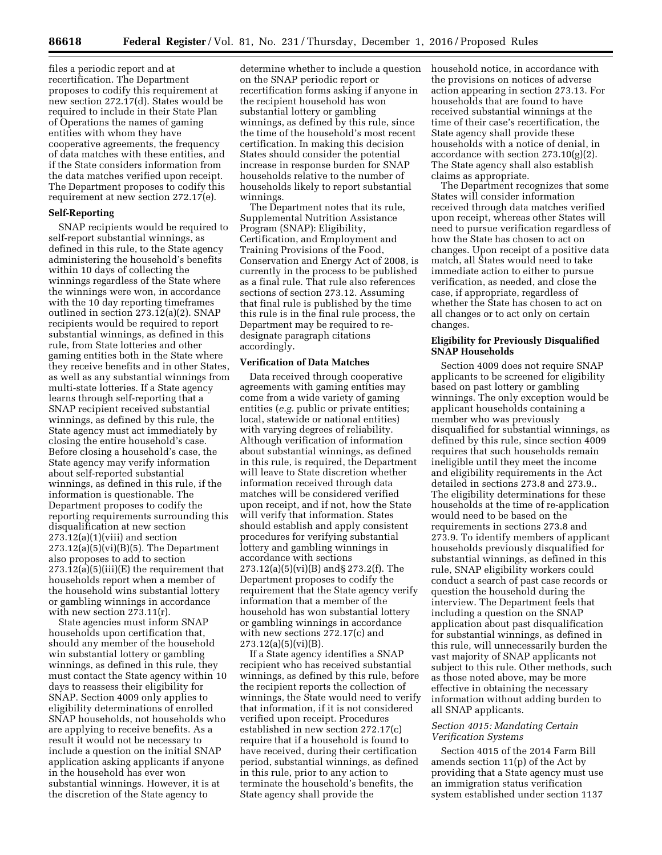files a periodic report and at recertification. The Department proposes to codify this requirement at new section 272.17(d). States would be required to include in their State Plan of Operations the names of gaming entities with whom they have cooperative agreements, the frequency of data matches with these entities, and if the State considers information from the data matches verified upon receipt. The Department proposes to codify this requirement at new section 272.17(e).

## **Self-Reporting**

SNAP recipients would be required to self-report substantial winnings, as defined in this rule, to the State agency administering the household's benefits within 10 days of collecting the winnings regardless of the State where the winnings were won, in accordance with the 10 day reporting timeframes outlined in section 273.12(a)(2). SNAP recipients would be required to report substantial winnings, as defined in this rule, from State lotteries and other gaming entities both in the State where they receive benefits and in other States, as well as any substantial winnings from multi-state lotteries. If a State agency learns through self-reporting that a SNAP recipient received substantial winnings, as defined by this rule, the State agency must act immediately by closing the entire household's case. Before closing a household's case, the State agency may verify information about self-reported substantial winnings, as defined in this rule, if the information is questionable. The Department proposes to codify the reporting requirements surrounding this disqualification at new section  $273.12(a)(1)(viii)$  and section 273.12(a)(5)(vi)(B)(5). The Department also proposes to add to section  $273.12(a)(5)(iii)(E)$  the requirement that households report when a member of the household wins substantial lottery or gambling winnings in accordance with new section 273.11(r).

State agencies must inform SNAP households upon certification that, should any member of the household win substantial lottery or gambling winnings, as defined in this rule, they must contact the State agency within 10 days to reassess their eligibility for SNAP. Section 4009 only applies to eligibility determinations of enrolled SNAP households, not households who are applying to receive benefits. As a result it would not be necessary to include a question on the initial SNAP application asking applicants if anyone in the household has ever won substantial winnings. However, it is at the discretion of the State agency to

determine whether to include a question on the SNAP periodic report or recertification forms asking if anyone in the recipient household has won substantial lottery or gambling winnings, as defined by this rule, since the time of the household's most recent certification. In making this decision States should consider the potential increase in response burden for SNAP households relative to the number of households likely to report substantial winnings.

The Department notes that its rule, Supplemental Nutrition Assistance Program (SNAP): Eligibility, Certification, and Employment and Training Provisions of the Food, Conservation and Energy Act of 2008, is currently in the process to be published as a final rule. That rule also references sections of section 273.12. Assuming that final rule is published by the time this rule is in the final rule process, the Department may be required to redesignate paragraph citations accordingly.

## **Verification of Data Matches**

Data received through cooperative agreements with gaming entities may come from a wide variety of gaming entities (*e.g.* public or private entities; local, statewide or national entities) with varying degrees of reliability. Although verification of information about substantial winnings, as defined in this rule, is required, the Department will leave to State discretion whether information received through data matches will be considered verified upon receipt, and if not, how the State will verify that information. States should establish and apply consistent procedures for verifying substantial lottery and gambling winnings in accordance with sections 273.12(a)(5)(vi)(B) and§ 273.2(f). The Department proposes to codify the requirement that the State agency verify information that a member of the household has won substantial lottery or gambling winnings in accordance with new sections 272.17(c) and  $273.12(a)(5)(vi)(B)$ .

If a State agency identifies a SNAP recipient who has received substantial winnings, as defined by this rule, before the recipient reports the collection of winnings, the State would need to verify that information, if it is not considered verified upon receipt. Procedures established in new section 272.17(c) require that if a household is found to have received, during their certification period, substantial winnings, as defined in this rule, prior to any action to terminate the household's benefits, the State agency shall provide the

household notice, in accordance with the provisions on notices of adverse action appearing in section 273.13. For households that are found to have received substantial winnings at the time of their case's recertification, the State agency shall provide these households with a notice of denial, in accordance with section 273.10(g)(2). The State agency shall also establish claims as appropriate.

The Department recognizes that some States will consider information received through data matches verified upon receipt, whereas other States will need to pursue verification regardless of how the State has chosen to act on changes. Upon receipt of a positive data match, all States would need to take immediate action to either to pursue verification, as needed, and close the case, if appropriate, regardless of whether the State has chosen to act on all changes or to act only on certain changes.

#### **Eligibility for Previously Disqualified SNAP Households**

Section 4009 does not require SNAP applicants to be screened for eligibility based on past lottery or gambling winnings. The only exception would be applicant households containing a member who was previously disqualified for substantial winnings, as defined by this rule, since section 4009 requires that such households remain ineligible until they meet the income and eligibility requirements in the Act detailed in sections 273.8 and 273.9.. The eligibility determinations for these households at the time of re-application would need to be based on the requirements in sections 273.8 and 273.9. To identify members of applicant households previously disqualified for substantial winnings, as defined in this rule, SNAP eligibility workers could conduct a search of past case records or question the household during the interview. The Department feels that including a question on the SNAP application about past disqualification for substantial winnings, as defined in this rule, will unnecessarily burden the vast majority of SNAP applicants not subject to this rule. Other methods, such as those noted above, may be more effective in obtaining the necessary information without adding burden to all SNAP applicants.

## *Section 4015: Mandating Certain Verification Systems*

Section 4015 of the 2014 Farm Bill amends section 11(p) of the Act by providing that a State agency must use an immigration status verification system established under section 1137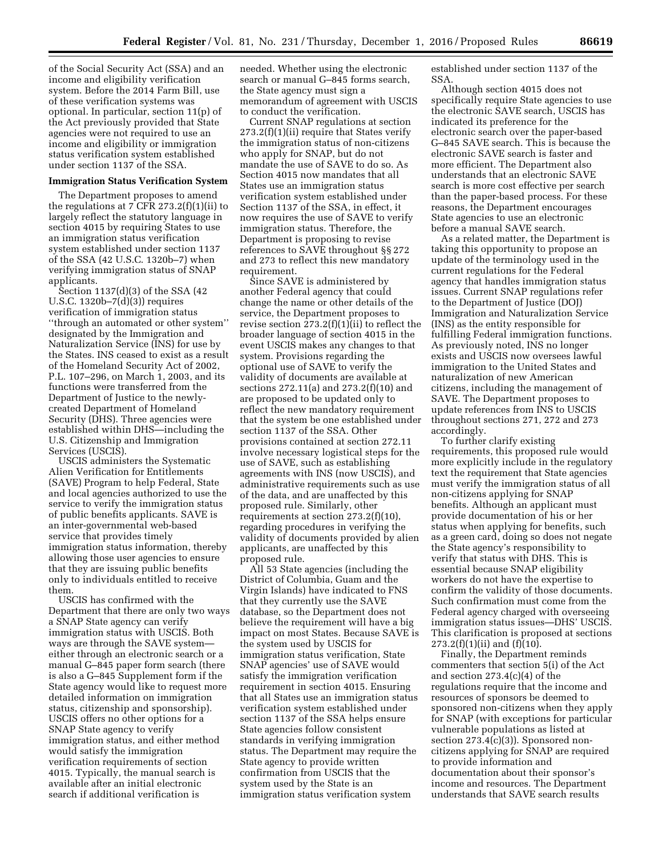of the Social Security Act (SSA) and an income and eligibility verification system. Before the 2014 Farm Bill, use of these verification systems was optional. In particular, section 11(p) of the Act previously provided that State agencies were not required to use an income and eligibility or immigration status verification system established under section 1137 of the SSA.

#### **Immigration Status Verification System**

The Department proposes to amend the regulations at 7 CFR  $273.2(f)(1)(ii)$  to largely reflect the statutory language in section 4015 by requiring States to use an immigration status verification system established under section 1137 of the SSA (42 U.S.C. 1320b–7) when verifying immigration status of SNAP applicants.

Section 1137(d)(3) of the SSA (42 U.S.C. 1320b–7(d)(3)) requires verification of immigration status ''through an automated or other system'' designated by the Immigration and Naturalization Service (INS) for use by the States. INS ceased to exist as a result of the Homeland Security Act of 2002, P.L. 107–296, on March 1, 2003, and its functions were transferred from the Department of Justice to the newlycreated Department of Homeland Security (DHS). Three agencies were established within DHS—including the U.S. Citizenship and Immigration Services (USCIS).

USCIS administers the Systematic Alien Verification for Entitlements (SAVE) Program to help Federal, State and local agencies authorized to use the service to verify the immigration status of public benefits applicants. SAVE is an inter-governmental web-based service that provides timely immigration status information, thereby allowing those user agencies to ensure that they are issuing public benefits only to individuals entitled to receive them.

USCIS has confirmed with the Department that there are only two ways a SNAP State agency can verify immigration status with USCIS. Both ways are through the SAVE system either through an electronic search or a manual G–845 paper form search (there is also a G–845 Supplement form if the State agency would like to request more detailed information on immigration status, citizenship and sponsorship). USCIS offers no other options for a SNAP State agency to verify immigration status, and either method would satisfy the immigration verification requirements of section 4015. Typically, the manual search is available after an initial electronic search if additional verification is

needed. Whether using the electronic search or manual G–845 forms search, the State agency must sign a memorandum of agreement with USCIS to conduct the verification.

Current SNAP regulations at section 273.2(f)(1)(ii) require that States verify the immigration status of non-citizens who apply for SNAP, but do not mandate the use of SAVE to do so. As Section 4015 now mandates that all States use an immigration status verification system established under Section 1137 of the SSA, in effect, it now requires the use of SAVE to verify immigration status. Therefore, the Department is proposing to revise references to SAVE throughout §§ 272 and 273 to reflect this new mandatory requirement.

Since SAVE is administered by another Federal agency that could change the name or other details of the service, the Department proposes to revise section 273.2(f)(1)(ii) to reflect the broader language of section 4015 in the event USCIS makes any changes to that system. Provisions regarding the optional use of SAVE to verify the validity of documents are available at sections 272.11(a) and 273.2(f)(10) and are proposed to be updated only to reflect the new mandatory requirement that the system be one established under section 1137 of the SSA. Other provisions contained at section 272.11 involve necessary logistical steps for the use of SAVE, such as establishing agreements with INS (now USCIS), and administrative requirements such as use of the data, and are unaffected by this proposed rule. Similarly, other requirements at section 273.2(f)(10), regarding procedures in verifying the validity of documents provided by alien applicants, are unaffected by this proposed rule.

All 53 State agencies (including the District of Columbia, Guam and the Virgin Islands) have indicated to FNS that they currently use the SAVE database, so the Department does not believe the requirement will have a big impact on most States. Because SAVE is the system used by USCIS for immigration status verification, State SNAP agencies' use of SAVE would satisfy the immigration verification requirement in section 4015. Ensuring that all States use an immigration status verification system established under section 1137 of the SSA helps ensure State agencies follow consistent standards in verifying immigration status. The Department may require the State agency to provide written confirmation from USCIS that the system used by the State is an immigration status verification system

established under section 1137 of the SSA.

Although section 4015 does not specifically require State agencies to use the electronic SAVE search, USCIS has indicated its preference for the electronic search over the paper-based G–845 SAVE search. This is because the electronic SAVE search is faster and more efficient. The Department also understands that an electronic SAVE search is more cost effective per search than the paper-based process. For these reasons, the Department encourages State agencies to use an electronic before a manual SAVE search.

As a related matter, the Department is taking this opportunity to propose an update of the terminology used in the current regulations for the Federal agency that handles immigration status issues. Current SNAP regulations refer to the Department of Justice (DOJ) Immigration and Naturalization Service (INS) as the entity responsible for fulfilling Federal immigration functions. As previously noted, INS no longer exists and USCIS now oversees lawful immigration to the United States and naturalization of new American citizens, including the management of SAVE. The Department proposes to update references from INS to USCIS throughout sections 271, 272 and 273 accordingly.

To further clarify existing requirements, this proposed rule would more explicitly include in the regulatory text the requirement that State agencies must verify the immigration status of all non-citizens applying for SNAP benefits. Although an applicant must provide documentation of his or her status when applying for benefits, such as a green card, doing so does not negate the State agency's responsibility to verify that status with DHS. This is essential because SNAP eligibility workers do not have the expertise to confirm the validity of those documents. Such confirmation must come from the Federal agency charged with overseeing immigration status issues—DHS' USCIS. This clarification is proposed at sections  $273.2(f)(1)(ii)$  and  $(f)(10)$ .

Finally, the Department reminds commenters that section 5(i) of the Act and section 273.4(c)(4) of the regulations require that the income and resources of sponsors be deemed to sponsored non-citizens when they apply for SNAP (with exceptions for particular vulnerable populations as listed at section 273.4(c)(3)). Sponsored noncitizens applying for SNAP are required to provide information and documentation about their sponsor's income and resources. The Department understands that SAVE search results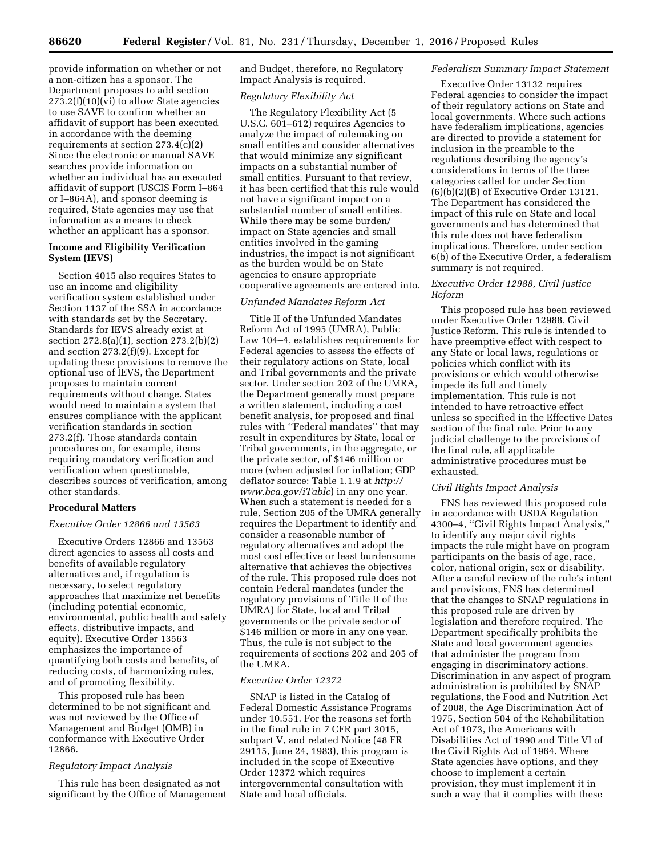provide information on whether or not a non-citizen has a sponsor. The Department proposes to add section 273.2(f)(10)(vi) to allow State agencies to use SAVE to confirm whether an affidavit of support has been executed in accordance with the deeming requirements at section 273.4(c)(2) Since the electronic or manual SAVE searches provide information on whether an individual has an executed affidavit of support (USCIS Form I–864 or I–864A), and sponsor deeming is required, State agencies may use that information as a means to check whether an applicant has a sponsor.

# **Income and Eligibility Verification System (IEVS)**

Section 4015 also requires States to use an income and eligibility verification system established under Section 1137 of the SSA in accordance with standards set by the Secretary. Standards for IEVS already exist at section 272.8(a)(1), section 273.2(b)(2) and section 273.2(f)(9). Except for updating these provisions to remove the optional use of IEVS, the Department proposes to maintain current requirements without change. States would need to maintain a system that ensures compliance with the applicant verification standards in section 273.2(f). Those standards contain procedures on, for example, items requiring mandatory verification and verification when questionable, describes sources of verification, among other standards.

# **Procedural Matters**

# *Executive Order 12866 and 13563*

Executive Orders 12866 and 13563 direct agencies to assess all costs and benefits of available regulatory alternatives and, if regulation is necessary, to select regulatory approaches that maximize net benefits (including potential economic, environmental, public health and safety effects, distributive impacts, and equity). Executive Order 13563 emphasizes the importance of quantifying both costs and benefits, of reducing costs, of harmonizing rules, and of promoting flexibility.

This proposed rule has been determined to be not significant and was not reviewed by the Office of Management and Budget (OMB) in conformance with Executive Order 12866.

# *Regulatory Impact Analysis*

This rule has been designated as not significant by the Office of Management and Budget, therefore, no Regulatory Impact Analysis is required.

# *Regulatory Flexibility Act*

The Regulatory Flexibility Act (5 U.S.C. 601–612) requires Agencies to analyze the impact of rulemaking on small entities and consider alternatives that would minimize any significant impacts on a substantial number of small entities. Pursuant to that review, it has been certified that this rule would not have a significant impact on a substantial number of small entities. While there may be some burden/ impact on State agencies and small entities involved in the gaming industries, the impact is not significant as the burden would be on State agencies to ensure appropriate cooperative agreements are entered into.

## *Unfunded Mandates Reform Act*

Title II of the Unfunded Mandates Reform Act of 1995 (UMRA), Public Law 104–4, establishes requirements for Federal agencies to assess the effects of their regulatory actions on State, local and Tribal governments and the private sector. Under section 202 of the UMRA, the Department generally must prepare a written statement, including a cost benefit analysis, for proposed and final rules with ''Federal mandates'' that may result in expenditures by State, local or Tribal governments, in the aggregate, or the private sector, of \$146 million or more (when adjusted for inflation; GDP deflator source: Table 1.1.9 at *[http://](http://www.bea.gov/iTable) [www.bea.gov/iTable](http://www.bea.gov/iTable)*) in any one year. When such a statement is needed for a rule, Section 205 of the UMRA generally requires the Department to identify and consider a reasonable number of regulatory alternatives and adopt the most cost effective or least burdensome alternative that achieves the objectives of the rule. This proposed rule does not contain Federal mandates (under the regulatory provisions of Title II of the UMRA) for State, local and Tribal governments or the private sector of \$146 million or more in any one year. Thus, the rule is not subject to the requirements of sections 202 and 205 of the UMRA.

# *Executive Order 12372*

SNAP is listed in the Catalog of Federal Domestic Assistance Programs under 10.551. For the reasons set forth in the final rule in 7 CFR part 3015, subpart V, and related Notice (48 FR 29115, June 24, 1983), this program is included in the scope of Executive Order 12372 which requires intergovernmental consultation with State and local officials.

# *Federalism Summary Impact Statement*

Executive Order 13132 requires Federal agencies to consider the impact of their regulatory actions on State and local governments. Where such actions have federalism implications, agencies are directed to provide a statement for inclusion in the preamble to the regulations describing the agency's considerations in terms of the three categories called for under Section (6)(b)(2)(B) of Executive Order 13121. The Department has considered the impact of this rule on State and local governments and has determined that this rule does not have federalism implications. Therefore, under section 6(b) of the Executive Order, a federalism summary is not required.

# *Executive Order 12988, Civil Justice Reform*

This proposed rule has been reviewed under Executive Order 12988, Civil Justice Reform. This rule is intended to have preemptive effect with respect to any State or local laws, regulations or policies which conflict with its provisions or which would otherwise impede its full and timely implementation. This rule is not intended to have retroactive effect unless so specified in the Effective Dates section of the final rule. Prior to any judicial challenge to the provisions of the final rule, all applicable administrative procedures must be exhausted.

# *Civil Rights Impact Analysis*

FNS has reviewed this proposed rule in accordance with USDA Regulation 4300–4, ''Civil Rights Impact Analysis,'' to identify any major civil rights impacts the rule might have on program participants on the basis of age, race, color, national origin, sex or disability. After a careful review of the rule's intent and provisions, FNS has determined that the changes to SNAP regulations in this proposed rule are driven by legislation and therefore required. The Department specifically prohibits the State and local government agencies that administer the program from engaging in discriminatory actions. Discrimination in any aspect of program administration is prohibited by SNAP regulations, the Food and Nutrition Act of 2008, the Age Discrimination Act of 1975, Section 504 of the Rehabilitation Act of 1973, the Americans with Disabilities Act of 1990 and Title VI of the Civil Rights Act of 1964. Where State agencies have options, and they choose to implement a certain provision, they must implement it in such a way that it complies with these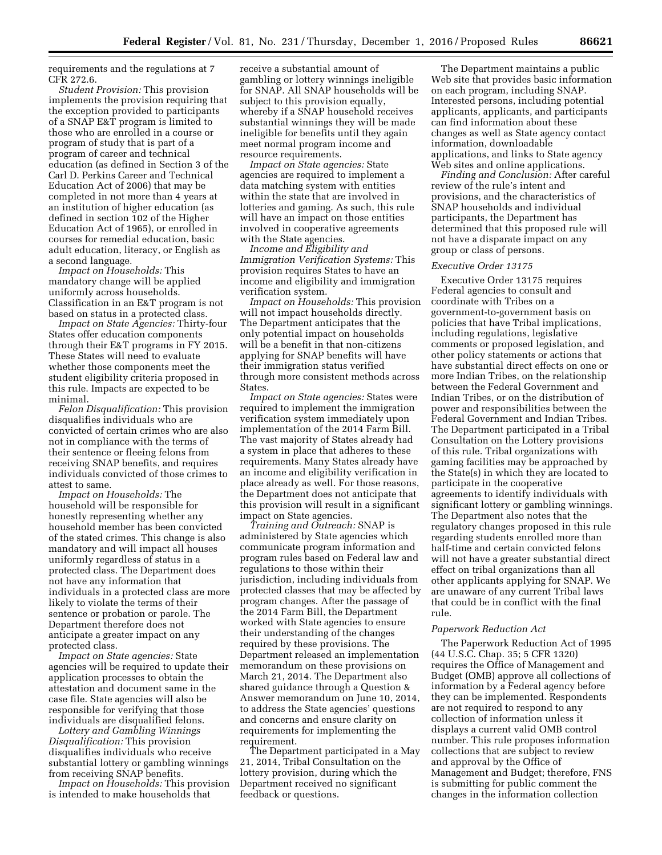requirements and the regulations at 7 CFR 272.6.

*Student Provision:* This provision implements the provision requiring that the exception provided to participants of a SNAP E&T program is limited to those who are enrolled in a course or program of study that is part of a program of career and technical education (as defined in Section 3 of the Carl D. Perkins Career and Technical Education Act of 2006) that may be completed in not more than 4 years at an institution of higher education (as defined in section 102 of the Higher Education Act of 1965), or enrolled in courses for remedial education, basic adult education, literacy, or English as a second language.

*Impact on Households:* This mandatory change will be applied uniformly across households. Classification in an E&T program is not based on status in a protected class.

*Impact on State Agencies:* Thirty-four States offer education components through their E&T programs in FY 2015. These States will need to evaluate whether those components meet the student eligibility criteria proposed in this rule. Impacts are expected to be minimal.

*Felon Disqualification:* This provision disqualifies individuals who are convicted of certain crimes who are also not in compliance with the terms of their sentence or fleeing felons from receiving SNAP benefits, and requires individuals convicted of those crimes to attest to same.

*Impact on Households:* The household will be responsible for honestly representing whether any household member has been convicted of the stated crimes. This change is also mandatory and will impact all houses uniformly regardless of status in a protected class. The Department does not have any information that individuals in a protected class are more likely to violate the terms of their sentence or probation or parole. The Department therefore does not anticipate a greater impact on any protected class.

*Impact on State agencies:* State agencies will be required to update their application processes to obtain the attestation and document same in the case file. State agencies will also be responsible for verifying that those individuals are disqualified felons.

*Lottery and Gambling Winnings Disqualification:* This provision disqualifies individuals who receive substantial lottery or gambling winnings from receiving SNAP benefits.

*Impact on Households:* This provision is intended to make households that

receive a substantial amount of gambling or lottery winnings ineligible for SNAP. All SNAP households will be subject to this provision equally, whereby if a SNAP household receives substantial winnings they will be made ineligible for benefits until they again meet normal program income and resource requirements.

*Impact on State agencies:* State agencies are required to implement a data matching system with entities within the state that are involved in lotteries and gaming. As such, this rule will have an impact on those entities involved in cooperative agreements with the State agencies.

*Income and Eligibility and Immigration Verification Systems:* This provision requires States to have an income and eligibility and immigration verification system.

*Impact on Households:* This provision will not impact households directly. The Department anticipates that the only potential impact on households will be a benefit in that non-citizens applying for SNAP benefits will have their immigration status verified through more consistent methods across States.

*Impact on State agencies:* States were required to implement the immigration verification system immediately upon implementation of the 2014 Farm Bill. The vast majority of States already had a system in place that adheres to these requirements. Many States already have an income and eligibility verification in place already as well. For those reasons, the Department does not anticipate that this provision will result in a significant impact on State agencies.

*Training and Outreach:* SNAP is administered by State agencies which communicate program information and program rules based on Federal law and regulations to those within their jurisdiction, including individuals from protected classes that may be affected by program changes. After the passage of the 2014 Farm Bill, the Department worked with State agencies to ensure their understanding of the changes required by these provisions. The Department released an implementation memorandum on these provisions on March 21, 2014. The Department also shared guidance through a Question & Answer memorandum on June 10, 2014, to address the State agencies' questions and concerns and ensure clarity on requirements for implementing the requirement.

The Department participated in a May 21, 2014, Tribal Consultation on the lottery provision, during which the Department received no significant feedback or questions.

The Department maintains a public Web site that provides basic information on each program, including SNAP. Interested persons, including potential applicants, applicants, and participants can find information about these changes as well as State agency contact information, downloadable applications, and links to State agency Web sites and online applications.

*Finding and Conclusion:* After careful review of the rule's intent and provisions, and the characteristics of SNAP households and individual participants, the Department has determined that this proposed rule will not have a disparate impact on any group or class of persons.

## *Executive Order 13175*

Executive Order 13175 requires Federal agencies to consult and coordinate with Tribes on a government-to-government basis on policies that have Tribal implications, including regulations, legislative comments or proposed legislation, and other policy statements or actions that have substantial direct effects on one or more Indian Tribes, on the relationship between the Federal Government and Indian Tribes, or on the distribution of power and responsibilities between the Federal Government and Indian Tribes. The Department participated in a Tribal Consultation on the Lottery provisions of this rule. Tribal organizations with gaming facilities may be approached by the State(s) in which they are located to participate in the cooperative agreements to identify individuals with significant lottery or gambling winnings. The Department also notes that the regulatory changes proposed in this rule regarding students enrolled more than half-time and certain convicted felons will not have a greater substantial direct effect on tribal organizations than all other applicants applying for SNAP. We are unaware of any current Tribal laws that could be in conflict with the final rule.

#### *Paperwork Reduction Act*

The Paperwork Reduction Act of 1995 (44 U.S.C. Chap. 35; 5 CFR 1320) requires the Office of Management and Budget (OMB) approve all collections of information by a Federal agency before they can be implemented. Respondents are not required to respond to any collection of information unless it displays a current valid OMB control number. This rule proposes information collections that are subject to review and approval by the Office of Management and Budget; therefore, FNS is submitting for public comment the changes in the information collection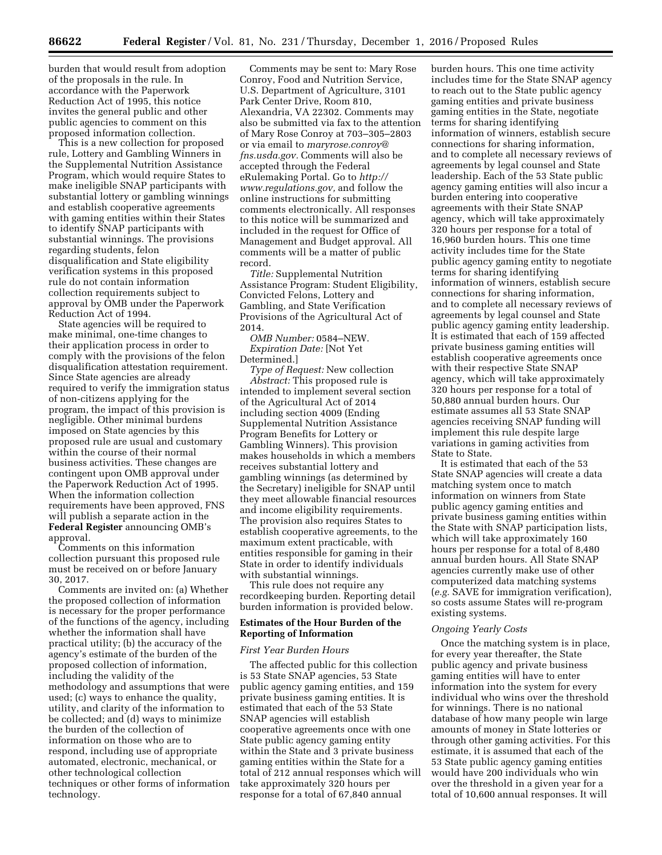burden that would result from adoption of the proposals in the rule. In accordance with the Paperwork Reduction Act of 1995, this notice invites the general public and other public agencies to comment on this proposed information collection.

This is a new collection for proposed rule, Lottery and Gambling Winners in the Supplemental Nutrition Assistance Program, which would require States to make ineligible SNAP participants with substantial lottery or gambling winnings and establish cooperative agreements with gaming entities within their States to identify SNAP participants with substantial winnings. The provisions regarding students, felon disqualification and State eligibility verification systems in this proposed rule do not contain information collection requirements subject to approval by OMB under the Paperwork Reduction Act of 1994.

State agencies will be required to make minimal, one-time changes to their application process in order to comply with the provisions of the felon disqualification attestation requirement. Since State agencies are already required to verify the immigration status of non-citizens applying for the program, the impact of this provision is negligible. Other minimal burdens imposed on State agencies by this proposed rule are usual and customary within the course of their normal business activities. These changes are contingent upon OMB approval under the Paperwork Reduction Act of 1995. When the information collection requirements have been approved, FNS will publish a separate action in the **Federal Register** announcing OMB's approval.

Comments on this information collection pursuant this proposed rule must be received on or before January 30, 2017.

Comments are invited on: (a) Whether the proposed collection of information is necessary for the proper performance of the functions of the agency, including whether the information shall have practical utility; (b) the accuracy of the agency's estimate of the burden of the proposed collection of information, including the validity of the methodology and assumptions that were used; (c) ways to enhance the quality, utility, and clarity of the information to be collected; and (d) ways to minimize the burden of the collection of information on those who are to respond, including use of appropriate automated, electronic, mechanical, or other technological collection techniques or other forms of information technology.

Comments may be sent to: Mary Rose Conroy, Food and Nutrition Service, U.S. Department of Agriculture, 3101 Park Center Drive, Room 810, Alexandria, VA 22302. Comments may also be submitted via fax to the attention of Mary Rose Conroy at 703–305–2803 or via email to *[maryrose.conroy@](mailto:maryrose.conroy@fns.usda.gov) [fns.usda.gov.](mailto:maryrose.conroy@fns.usda.gov)* Comments will also be accepted through the Federal eRulemaking Portal. Go to *[http://](http://www.regulations.gov) [www.regulations.gov,](http://www.regulations.gov)* and follow the online instructions for submitting comments electronically. All responses to this notice will be summarized and included in the request for Office of Management and Budget approval. All comments will be a matter of public record.

*Title:* Supplemental Nutrition Assistance Program: Student Eligibility, Convicted Felons, Lottery and Gambling, and State Verification Provisions of the Agricultural Act of 2014.

*OMB Number:* 0584–NEW. *Expiration Date:* [Not Yet Determined.]

*Type of Request:* New collection *Abstract:* This proposed rule is intended to implement several section of the Agricultural Act of 2014 including section 4009 (Ending Supplemental Nutrition Assistance Program Benefits for Lottery or Gambling Winners). This provision makes households in which a members receives substantial lottery and gambling winnings (as determined by the Secretary) ineligible for SNAP until they meet allowable financial resources and income eligibility requirements. The provision also requires States to establish cooperative agreements, to the maximum extent practicable, with entities responsible for gaming in their State in order to identify individuals with substantial winnings.

This rule does not require any recordkeeping burden. Reporting detail burden information is provided below.

# **Estimates of the Hour Burden of the Reporting of Information**

## *First Year Burden Hours*

The affected public for this collection is 53 State SNAP agencies, 53 State public agency gaming entities, and 159 private business gaming entities. It is estimated that each of the 53 State SNAP agencies will establish cooperative agreements once with one State public agency gaming entity within the State and 3 private business gaming entities within the State for a total of 212 annual responses which will take approximately 320 hours per response for a total of 67,840 annual

burden hours. This one time activity includes time for the State SNAP agency to reach out to the State public agency gaming entities and private business gaming entities in the State, negotiate terms for sharing identifying information of winners, establish secure connections for sharing information, and to complete all necessary reviews of agreements by legal counsel and State leadership. Each of the 53 State public agency gaming entities will also incur a burden entering into cooperative agreements with their State SNAP agency, which will take approximately 320 hours per response for a total of 16,960 burden hours. This one time activity includes time for the State public agency gaming entity to negotiate terms for sharing identifying information of winners, establish secure connections for sharing information, and to complete all necessary reviews of agreements by legal counsel and State public agency gaming entity leadership. It is estimated that each of 159 affected private business gaming entities will establish cooperative agreements once with their respective State SNAP agency, which will take approximately 320 hours per response for a total of 50,880 annual burden hours. Our estimate assumes all 53 State SNAP agencies receiving SNAP funding will implement this rule despite large variations in gaming activities from State to State.

It is estimated that each of the 53 State SNAP agencies will create a data matching system once to match information on winners from State public agency gaming entities and private business gaming entities within the State with SNAP participation lists, which will take approximately 160 hours per response for a total of 8,480 annual burden hours. All State SNAP agencies currently make use of other computerized data matching systems (*e.g.* SAVE for immigration verification), so costs assume States will re-program existing systems.

#### *Ongoing Yearly Costs*

Once the matching system is in place, for every year thereafter, the State public agency and private business gaming entities will have to enter information into the system for every individual who wins over the threshold for winnings. There is no national database of how many people win large amounts of money in State lotteries or through other gaming activities. For this estimate, it is assumed that each of the 53 State public agency gaming entities would have 200 individuals who win over the threshold in a given year for a total of 10,600 annual responses. It will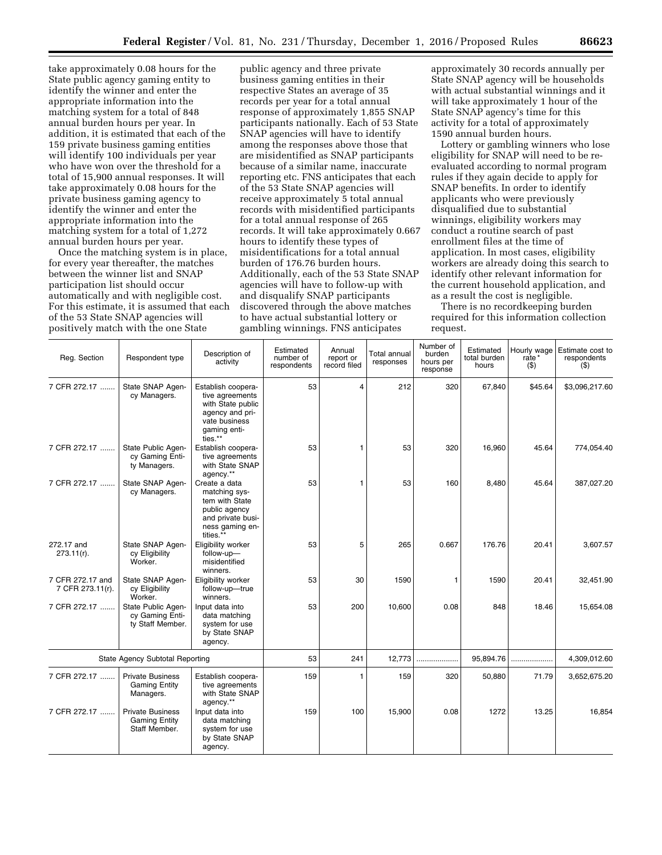take approximately 0.08 hours for the State public agency gaming entity to identify the winner and enter the appropriate information into the matching system for a total of 848 annual burden hours per year. In addition, it is estimated that each of the 159 private business gaming entities will identify 100 individuals per year who have won over the threshold for a total of 15,900 annual responses. It will take approximately 0.08 hours for the private business gaming agency to identify the winner and enter the appropriate information into the matching system for a total of 1,272 annual burden hours per year.

Once the matching system is in place, for every year thereafter, the matches between the winner list and SNAP participation list should occur automatically and with negligible cost. For this estimate, it is assumed that each of the 53 State SNAP agencies will positively match with the one State

public agency and three private business gaming entities in their respective States an average of 35 records per year for a total annual response of approximately 1,855 SNAP participants nationally. Each of 53 State SNAP agencies will have to identify among the responses above those that are misidentified as SNAP participants because of a similar name, inaccurate reporting etc. FNS anticipates that each of the 53 State SNAP agencies will receive approximately 5 total annual records with misidentified participants for a total annual response of 265 records. It will take approximately 0.667 hours to identify these types of misidentifications for a total annual burden of 176.76 burden hours. Additionally, each of the 53 State SNAP agencies will have to follow-up with and disqualify SNAP participants discovered through the above matches to have actual substantial lottery or gambling winnings. FNS anticipates

approximately 30 records annually per State SNAP agency will be households with actual substantial winnings and it will take approximately 1 hour of the State SNAP agency's time for this activity for a total of approximately 1590 annual burden hours.

Lottery or gambling winners who lose eligibility for SNAP will need to be reevaluated according to normal program rules if they again decide to apply for SNAP benefits. In order to identify applicants who were previously disqualified due to substantial winnings, eligibility workers may conduct a routine search of past enrollment files at the time of application. In most cases, eligibility workers are already doing this search to identify other relevant information for the current household application, and as a result the cost is negligible.

There is no recordkeeping burden required for this information collection request.

| Reg. Section                           | Respondent type                                                  | Description of<br>activity                                                                                                | Estimated<br>number of<br>respondents | Annual<br>report or<br>record filed | Total annual<br>responses | Number of<br>burden<br>hours per<br>response | Estimated<br>total burden<br>hours | Hourly wage<br>rate*<br>$($ \$) | Estimate cost to<br>respondents<br>$($ \$) |
|----------------------------------------|------------------------------------------------------------------|---------------------------------------------------------------------------------------------------------------------------|---------------------------------------|-------------------------------------|---------------------------|----------------------------------------------|------------------------------------|---------------------------------|--------------------------------------------|
| 7 CFR 272.17                           | State SNAP Agen-<br>cy Managers.                                 | Establish coopera-<br>tive agreements<br>with State public<br>agency and pri-<br>vate business<br>gaming enti-<br>ties.** | 53                                    | 4                                   | 212                       | 320                                          | 67,840                             | \$45.64                         | \$3,096,217.60                             |
| 7 CFR 272.17                           | State Public Agen-<br>cy Gaming Enti-<br>ty Managers.            | Establish coopera-<br>tive agreements<br>with State SNAP<br>agency.**                                                     | 53                                    | 1                                   | 53                        | 320                                          | 16.960                             | 45.64                           | 774.054.40                                 |
| 7 CFR 272.17                           | State SNAP Agen-<br>cy Managers.                                 | Create a data<br>matching sys-<br>tem with State<br>public agency<br>and private busi-<br>ness gaming en-<br>tities.**    | 53                                    | 1                                   | 53                        | 160                                          | 8,480                              | 45.64                           | 387,027.20                                 |
| 272.17 and<br>$273.11(r)$ .            | State SNAP Agen-<br>cy Eligibility<br>Worker.                    | Eligibility worker<br>follow-up-<br>misidentified<br>winners.                                                             | 53                                    | 5                                   | 265                       | 0.667                                        | 176.76                             | 20.41                           | 3,607.57                                   |
| 7 CFR 272.17 and<br>7 CFR 273.11(r).   | State SNAP Agen-<br>cy Eligibility<br>Worker.                    | Eligibility worker<br>follow-up-true<br>winners.                                                                          | 53                                    | 30                                  | 1590                      | 1                                            | 1590                               | 20.41                           | 32,451.90                                  |
| 7 CFR 272.17                           | State Public Agen-<br>cy Gaming Enti-<br>ty Staff Member.        | Input data into<br>data matching<br>system for use<br>by State SNAP<br>agency.                                            | 53                                    | 200                                 | 10,600                    | 0.08                                         | 848                                | 18.46                           | 15,654.08                                  |
| <b>State Agency Subtotal Reporting</b> |                                                                  |                                                                                                                           | 53                                    | 241                                 | 12,773                    | .                                            | 95,894.76                          |                                 | 4,309,012.60                               |
| 7 CFR 272.17                           | <b>Private Business</b><br><b>Gaming Entity</b><br>Managers.     | Establish coopera-<br>tive agreements<br>with State SNAP<br>agency.**                                                     | 159                                   | 1                                   | 159                       | 320                                          | 50,880                             | 71.79                           | 3,652,675.20                               |
| 7 CFR 272.17                           | <b>Private Business</b><br><b>Gaming Entity</b><br>Staff Member. | Input data into<br>data matching<br>system for use<br>by State SNAP<br>agency.                                            | 159                                   | 100                                 | 15,900                    | 0.08                                         | 1272                               | 13.25                           | 16,854                                     |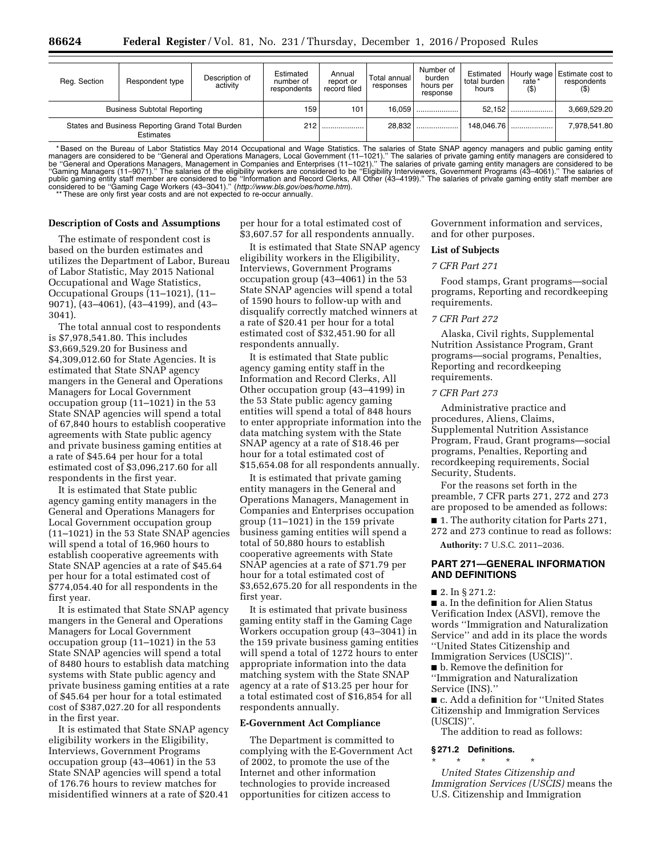| Reg. Section                                                  | Respondent type | Description of<br>activity | Estimated<br>number of<br>respondents | Annual<br>report or<br>record filed | Total annual<br>responses | Number of<br>burden<br>hours per<br>response | Estimated<br>total burden<br>hours | rate*<br>$($ \$) | Hourly wage Estimate cost to<br>respondents |
|---------------------------------------------------------------|-----------------|----------------------------|---------------------------------------|-------------------------------------|---------------------------|----------------------------------------------|------------------------------------|------------------|---------------------------------------------|
| <b>Business Subtotal Reporting</b>                            |                 |                            | 159                                   | 101                                 | 16.0591                   |                                              | 52.152                             |                  | 3.669.529.20                                |
| States and Business Reporting Grand Total Burden<br>Estimates |                 |                            | 212                                   |                                     | 28.832                    |                                              |                                    | 148,046.76       | 7.978.541.80                                |

\* Based on the Bureau of Labor Statistics May 2014 Occupational and Wage Statistics. The salaries of State SNAP agency managers and public gaming entity managers are considered to be "General and Operations Managers, Local

## **Description of Costs and Assumptions**

The estimate of respondent cost is based on the burden estimates and utilizes the Department of Labor, Bureau of Labor Statistic, May 2015 National Occupational and Wage Statistics, Occupational Groups (11–1021), (11– 9071), (43–4061), (43–4199), and (43– 3041).

The total annual cost to respondents is \$7,978,541.80. This includes \$3,669,529.20 for Business and \$4,309,012.60 for State Agencies. It is estimated that State SNAP agency mangers in the General and Operations Managers for Local Government occupation group (11–1021) in the 53 State SNAP agencies will spend a total of 67,840 hours to establish cooperative agreements with State public agency and private business gaming entities at a rate of \$45.64 per hour for a total estimated cost of \$3,096,217.60 for all respondents in the first year.

It is estimated that State public agency gaming entity managers in the General and Operations Managers for Local Government occupation group (11–1021) in the 53 State SNAP agencies will spend a total of 16,960 hours to establish cooperative agreements with State SNAP agencies at a rate of \$45.64 per hour for a total estimated cost of \$774,054.40 for all respondents in the first year.

It is estimated that State SNAP agency mangers in the General and Operations Managers for Local Government occupation group (11–1021) in the 53 State SNAP agencies will spend a total of 8480 hours to establish data matching systems with State public agency and private business gaming entities at a rate of \$45.64 per hour for a total estimated cost of \$387,027.20 for all respondents in the first year.

It is estimated that State SNAP agency eligibility workers in the Eligibility, Interviews, Government Programs occupation group (43–4061) in the 53 State SNAP agencies will spend a total of 176.76 hours to review matches for misidentified winners at a rate of \$20.41 per hour for a total estimated cost of \$3,607.57 for all respondents annually.

It is estimated that State SNAP agency eligibility workers in the Eligibility, Interviews, Government Programs occupation group (43–4061) in the 53 State SNAP agencies will spend a total of 1590 hours to follow-up with and disqualify correctly matched winners at a rate of \$20.41 per hour for a total estimated cost of \$32,451.90 for all respondents annually.

It is estimated that State public agency gaming entity staff in the Information and Record Clerks, All Other occupation group (43–4199) in the 53 State public agency gaming entities will spend a total of 848 hours to enter appropriate information into the data matching system with the State SNAP agency at a rate of \$18.46 per hour for a total estimated cost of \$15,654.08 for all respondents annually.

It is estimated that private gaming entity managers in the General and Operations Managers, Management in Companies and Enterprises occupation group (11–1021) in the 159 private business gaming entities will spend a total of 50,880 hours to establish cooperative agreements with State SNAP agencies at a rate of \$71.79 per hour for a total estimated cost of \$3,652,675.20 for all respondents in the first year.

It is estimated that private business gaming entity staff in the Gaming Cage Workers occupation group (43–3041) in the 159 private business gaming entities will spend a total of 1272 hours to enter appropriate information into the data matching system with the State SNAP agency at a rate of \$13.25 per hour for a total estimated cost of \$16,854 for all respondents annually.

#### **E-Government Act Compliance**

The Department is committed to complying with the E-Government Act of 2002, to promote the use of the Internet and other information technologies to provide increased opportunities for citizen access to

Government information and services, and for other purposes.

#### **List of Subjects**

#### *7 CFR Part 271*

Food stamps, Grant programs—social programs, Reporting and recordkeeping requirements.

## *7 CFR Part 272*

Alaska, Civil rights, Supplemental Nutrition Assistance Program, Grant programs—social programs, Penalties, Reporting and recordkeeping requirements.

## *7 CFR Part 273*

Administrative practice and procedures, Aliens, Claims, Supplemental Nutrition Assistance Program, Fraud, Grant programs—social programs, Penalties, Reporting and recordkeeping requirements, Social Security, Students.

For the reasons set forth in the preamble, 7 CFR parts 271, 272 and 273 are proposed to be amended as follows:

■ 1. The authority citation for Parts 271, 272 and 273 continue to read as follows:

**Authority:** 7 U.S.C. 2011–2036.

## **PART 271—GENERAL INFORMATION AND DEFINITIONS**

■ 2. In § 271.2:

■ a. In the definition for Alien Status Verification Index (ASVI), remove the words ''Immigration and Naturalization Service'' and add in its place the words ''United States Citizenship and Immigration Services (USCIS)''.

■ **b**. Remove the definition for

''Immigration and Naturalization Service (INS).''

■ c. Add a definition for "United States Citizenship and Immigration Services (USCIS)''.

The addition to read as follows:

#### **§ 271.2 Definitions.**

\* \* \* \* \* *United States Citizenship and Immigration Services (USCIS)* means the U.S. Citizenship and Immigration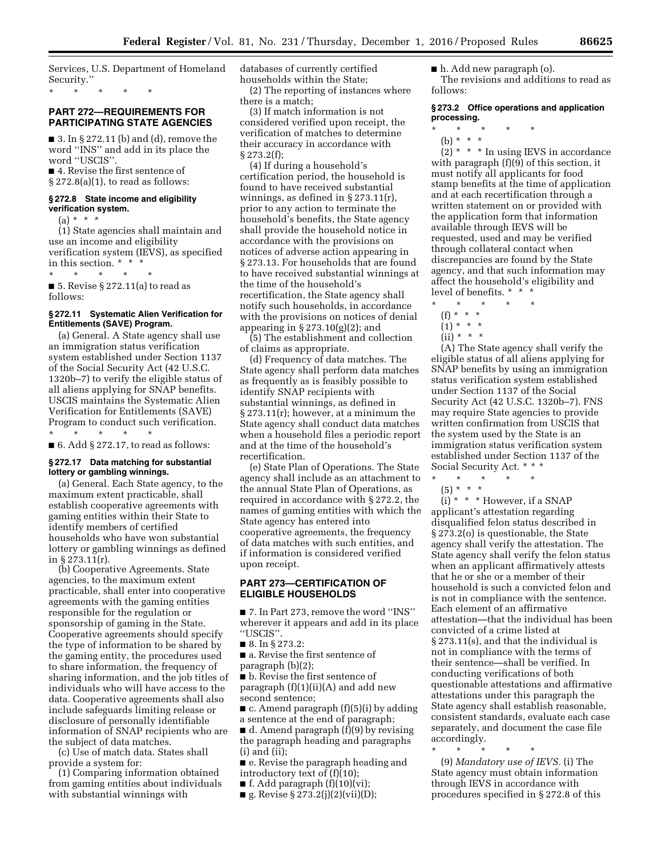Services, U.S. Department of Homeland Security.''

\* \* \* \* \*

# **PART 272—REQUIREMENTS FOR PARTICIPATING STATE AGENCIES**

 $\blacksquare$  3. In § 272.11 (b) and (d), remove the word ''INS'' and add in its place the word ''USCIS''.

■ 4. Revise the first sentence of  $\S 272.8(a)(1)$ , to read as follows:

#### **§ 272.8 State income and eligibility verification system.**

 $(a) * * * *$ 

(1) State agencies shall maintain and use an income and eligibility verification system (IEVS), as specified in this section. \* \* \*

\* \* \* \* \* ■ 5. Revise § 272.11(a) to read as follows:

# **§ 272.11 Systematic Alien Verification for Entitlements (SAVE) Program.**

(a) General. A State agency shall use an immigration status verification system established under Section 1137 of the Social Security Act (42 U.S.C. 1320b–7) to verify the eligible status of all aliens applying for SNAP benefits. USCIS maintains the Systematic Alien Verification for Entitlements (SAVE) Program to conduct such verification.

\* \* \* \* \*  $\blacksquare$  6. Add § 272.17, to read as follows:

## **§ 272.17 Data matching for substantial lottery or gambling winnings.**

(a) General. Each State agency, to the maximum extent practicable, shall establish cooperative agreements with gaming entities within their State to identify members of certified households who have won substantial lottery or gambling winnings as defined in § 273.11(r).

(b) Cooperative Agreements. State agencies, to the maximum extent practicable, shall enter into cooperative agreements with the gaming entities responsible for the regulation or sponsorship of gaming in the State. Cooperative agreements should specify the type of information to be shared by the gaming entity, the procedures used to share information, the frequency of sharing information, and the job titles of individuals who will have access to the data. Cooperative agreements shall also include safeguards limiting release or disclosure of personally identifiable information of SNAP recipients who are the subject of data matches.

(c) Use of match data. States shall provide a system for:

(1) Comparing information obtained from gaming entities about individuals with substantial winnings with

databases of currently certified households within the State;

(2) The reporting of instances where there is a match;

(3) If match information is not considered verified upon receipt, the verification of matches to determine their accuracy in accordance with § 273.2(f);

(4) If during a household's certification period, the household is found to have received substantial winnings, as defined in § 273.11(r), prior to any action to terminate the household's benefits, the State agency shall provide the household notice in accordance with the provisions on notices of adverse action appearing in § 273.13. For households that are found to have received substantial winnings at the time of the household's recertification, the State agency shall notify such households, in accordance with the provisions on notices of denial appearing in  $\S 273.10(g)(2)$ ; and

(5) The establishment and collection of claims as appropriate.

(d) Frequency of data matches. The State agency shall perform data matches as frequently as is feasibly possible to identify SNAP recipients with substantial winnings, as defined in § 273.11(r); however, at a minimum the State agency shall conduct data matches when a household files a periodic report and at the time of the household's recertification.

(e) State Plan of Operations. The State agency shall include as an attachment to the annual State Plan of Operations, as required in accordance with § 272.2, the names of gaming entities with which the State agency has entered into cooperative agreements, the frequency of data matches with such entities, and if information is considered verified upon receipt.

## **PART 273—CERTIFICATION OF ELIGIBLE HOUSEHOLDS**

■ 7. In Part 273, remove the word ''INS'' wherever it appears and add in its place ''USCIS''.

■ 8. In § 273.2:

■ a. Revise the first sentence of paragraph (b)(2);

■ b. Revise the first sentence of paragraph (f)(1)(ii)(A) and add new second sentence;

■ c. Amend paragraph (f)(5)(i) by adding a sentence at the end of paragraph;

■ d. Amend paragraph (f)(9) by revising the paragraph heading and paragraphs (i) and (ii);

■ e. Revise the paragraph heading and introductory text of (f)(10);

■ f. Add paragraph (f)(10)(vi);

 $\blacksquare$  g. Revise § 273.2(j)(2)(vii)(D);

■ h. Add new paragraph (o).

The revisions and additions to read as follows:

## **§ 273.2 Office operations and application processing.**

- $\star$   $\star$
- (b) \* \* \*

 $(2)$  \* \* \* In using IEVS in accordance with paragraph (f)(9) of this section, it must notify all applicants for food stamp benefits at the time of application and at each recertification through a written statement on or provided with the application form that information available through IEVS will be requested, used and may be verified through collateral contact when discrepancies are found by the State agency, and that such information may affect the household's eligibility and level of benefits. \* \* \*

- \* \* \* \* \*
	- (f) \* \* \*
	- $(1) * * * *$

 $(ii) * * * *$ 

(A) The State agency shall verify the eligible status of all aliens applying for SNAP benefits by using an immigration status verification system established under Section 1137 of the Social Security Act (42 U.S.C. 1320b–7). FNS may require State agencies to provide written confirmation from USCIS that the system used by the State is an immigration status verification system established under Section 1137 of the Social Security Act. \* \* \*

- \* \* \* \* \*
- (5) \* \* \*

 $(i) * * *$  However, if a SNAP applicant's attestation regarding disqualified felon status described in § 273.2(o) is questionable, the State agency shall verify the attestation. The State agency shall verify the felon status when an applicant affirmatively attests that he or she or a member of their household is such a convicted felon and is not in compliance with the sentence. Each element of an affirmative attestation—that the individual has been convicted of a crime listed at § 273.11(s), and that the individual is not in compliance with the terms of their sentence—shall be verified. In conducting verifications of both questionable attestations and affirmative attestations under this paragraph the State agency shall establish reasonable, consistent standards, evaluate each case separately, and document the case file accordingly.

\* \* \* \* \* (9) *Mandatory use of IEVS.* (i) The State agency must obtain information through IEVS in accordance with procedures specified in § 272.8 of this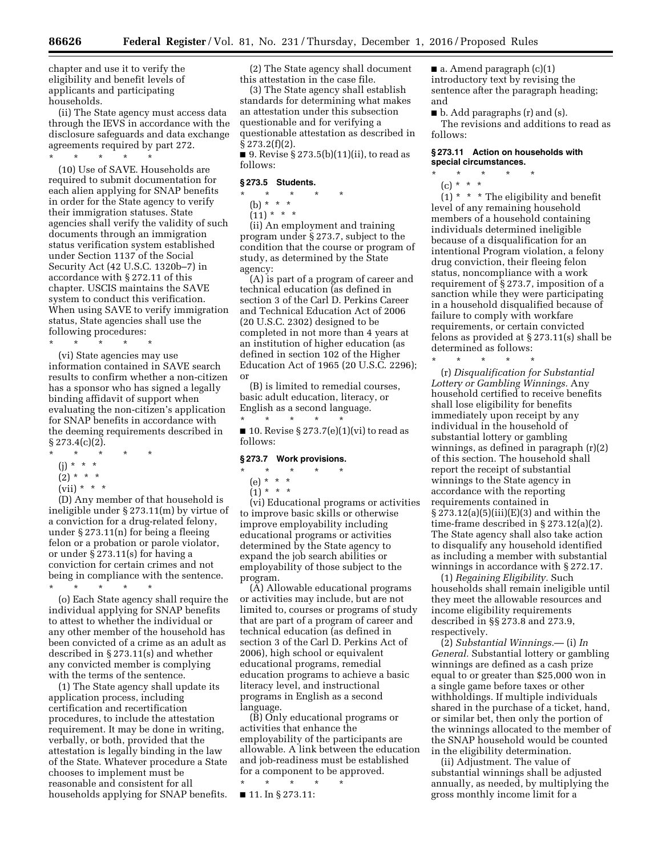chapter and use it to verify the eligibility and benefit levels of applicants and participating households.

(ii) The State agency must access data through the IEVS in accordance with the disclosure safeguards and data exchange agreements required by part 272.

\* \* \* \* \*

(10) Use of SAVE. Households are required to submit documentation for each alien applying for SNAP benefits in order for the State agency to verify their immigration statuses. State agencies shall verify the validity of such documents through an immigration status verification system established under Section 1137 of the Social Security Act (42 U.S.C. 1320b–7) in accordance with § 272.11 of this chapter. USCIS maintains the SAVE system to conduct this verification. When using SAVE to verify immigration status, State agencies shall use the following procedures:

\* \* \* \* \*

(vi) State agencies may use information contained in SAVE search results to confirm whether a non-citizen has a sponsor who has signed a legally binding affidavit of support when evaluating the non-citizen's application for SNAP benefits in accordance with the deeming requirements described in  $§ 273.4(c)(2).$ 

- \* \* \* \* \*
- (j) \* \* \*
- $(2) * * * *$
- $(vii) * * * *$

(D) Any member of that household is ineligible under § 273.11(m) by virtue of a conviction for a drug-related felony, under § 273.11(n) for being a fleeing felon or a probation or parole violator, or under § 273.11(s) for having a conviction for certain crimes and not being in compliance with the sentence.

\* \* \* \* \* (o) Each State agency shall require the individual applying for SNAP benefits to attest to whether the individual or any other member of the household has been convicted of a crime as an adult as described in § 273.11(s) and whether any convicted member is complying with the terms of the sentence.

(1) The State agency shall update its application process, including certification and recertification procedures, to include the attestation requirement. It may be done in writing, verbally, or both, provided that the attestation is legally binding in the law of the State. Whatever procedure a State chooses to implement must be reasonable and consistent for all households applying for SNAP benefits.

(2) The State agency shall document this attestation in the case file.

(3) The State agency shall establish standards for determining what makes an attestation under this subsection questionable and for verifying a questionable attestation as described in  $§ 273.2(f)(2).$ 

■ 9. Revise § 273.5(b)(11)(ii), to read as follows:

## **§ 273.5 Students.**

 $*$  \*

(b) \* \* \*  $(11)* **$ 

(ii) An employment and training program under § 273.7, subject to the condition that the course or program of study, as determined by the State agency:

(A) is part of a program of career and technical education (as defined in section 3 of the Carl D. Perkins Career and Technical Education Act of 2006 (20 U.S.C. 2302) designed to be completed in not more than 4 years at an institution of higher education (as defined in section 102 of the Higher Education Act of 1965 (20 U.S.C. 2296); or

(B) is limited to remedial courses, basic adult education, literacy, or English as a second language. \* \* \* \* \*

 $\blacksquare$  10. Revise § 273.7(e)(1)(vi) to read as follows:

#### **§ 273.7 Work provisions.**

#### $\star$   $\star$   $\star$

(e) \* \* \*

 $(1) * * * *$ 

(vi) Educational programs or activities to improve basic skills or otherwise improve employability including educational programs or activities determined by the State agency to expand the job search abilities or employability of those subject to the program.

(A) Allowable educational programs or activities may include, but are not limited to, courses or programs of study that are part of a program of career and technical education (as defined in section 3 of the Carl D. Perkins Act of 2006), high school or equivalent educational programs, remedial education programs to achieve a basic literacy level, and instructional programs in English as a second language.

(B) Only educational programs or activities that enhance the employability of the participants are allowable. A link between the education and job-readiness must be established for a component to be approved.

\* \* \* \* \* ■ 11. In § 273.11:

 $\blacksquare$  a. Amend paragraph  $(c)(1)$ introductory text by revising the sentence after the paragraph heading; and

■ b. Add paragraphs (r) and (s). The revisions and additions to read as follows:

# **§ 273.11 Action on households with special circumstances.**

\* \* \* \* \*

(c) \* \* \*

 $(1)$  \* \* \* The eligibility and benefit level of any remaining household members of a household containing individuals determined ineligible because of a disqualification for an intentional Program violation, a felony drug conviction, their fleeing felon status, noncompliance with a work requirement of § 273.7, imposition of a sanction while they were participating in a household disqualified because of failure to comply with workfare requirements, or certain convicted felons as provided at § 273.11(s) shall be determined as follows:

\* \* \* \* \* (r) *Disqualification for Substantial Lottery or Gambling Winnings.* Any household certified to receive benefits shall lose eligibility for benefits immediately upon receipt by any

individual in the household of substantial lottery or gambling winnings, as defined in paragraph (r)(2) of this section. The household shall report the receipt of substantial winnings to the State agency in accordance with the reporting requirements contained in  $\S 273.12(a)(5)(iii)(E)(3)$  and within the time-frame described in § 273.12(a)(2). The State agency shall also take action to disqualify any household identified as including a member with substantial winnings in accordance with § 272.17.

(1) *Regaining Eligibility.* Such households shall remain ineligible until they meet the allowable resources and income eligibility requirements described in §§ 273.8 and 273.9, respectively.

(2) *Substantial Winnings.*— (i) *In General.* Substantial lottery or gambling winnings are defined as a cash prize equal to or greater than \$25,000 won in a single game before taxes or other withholdings. If multiple individuals shared in the purchase of a ticket, hand, or similar bet, then only the portion of the winnings allocated to the member of the SNAP household would be counted in the eligibility determination.

(ii) Adjustment. The value of substantial winnings shall be adjusted annually, as needed, by multiplying the gross monthly income limit for a